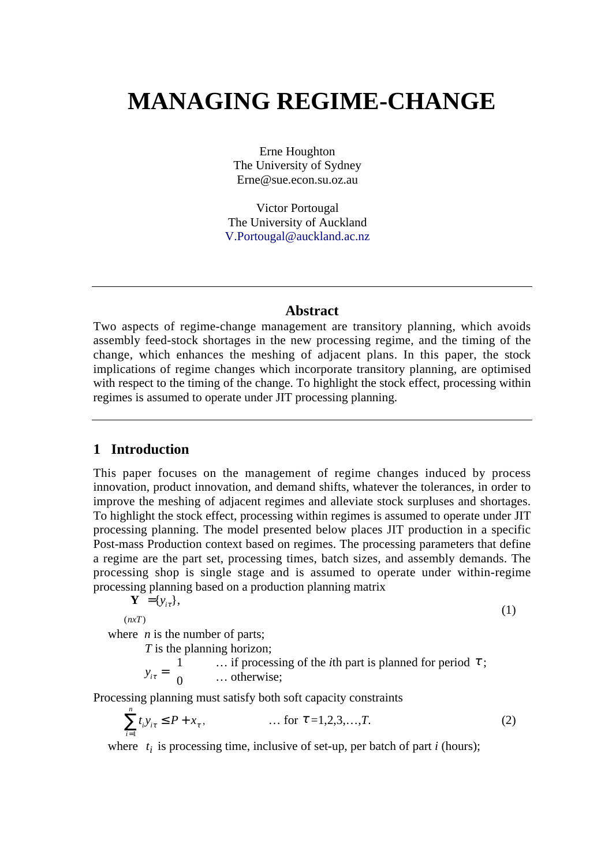# **MANAGING REGIME-CHANGE**

Erne Houghton The University of Sydney Erne@sue.econ.su.oz.au

Victor Portougal The University of Auckland V.Portougal@auckland.ac.nz

### **Abstract**

Two aspects of regime-change management are transitory planning, which avoids assembly feed-stock shortages in the new processing regime, and the timing of the change, which enhances the meshing of adjacent plans. In this paper, the stock implications of regime changes which incorporate transitory planning, are optimised with respect to the timing of the change. To highlight the stock effect, processing within regimes is assumed to operate under JIT processing planning.

## **1 Introduction**

This paper focuses on the management of regime changes induced by process innovation, product innovation, and demand shifts, whatever the tolerances, in order to improve the meshing of adjacent regimes and alleviate stock surpluses and shortages. To highlight the stock effect, processing within regimes is assumed to operate under JIT processing planning. The model presented below places JIT production in a specific Post-mass Production context based on regimes. The processing parameters that define a regime are the part set, processing times, batch sizes, and assembly demands. The processing shop is single stage and is assumed to operate under within-regime processing planning based on a production planning matrix

$$
\mathbf{Y} = \{y_{i\tau}\},\
$$

 $(nxT)$ 

(1)

where *n* is the number of parts;

*T* is the planning horizon;

 $y_{i\tau} = \left\{$ {  $\mathsf{L}$ 1 0 ... if processing of the *i*th part is planned for period  $\tau$ ; … otherwise;

Processing planning must satisfy both soft capacity constraints

$$
\sum_{i=1}^{n} t_i y_{i\tau} \le P + x_{\tau}, \qquad \qquad \dots \text{ for } \tau = 1, 2, 3, \dots, T. \tag{2}
$$

where  $t_i$  is processing time, inclusive of set-up, per batch of part *i* (hours);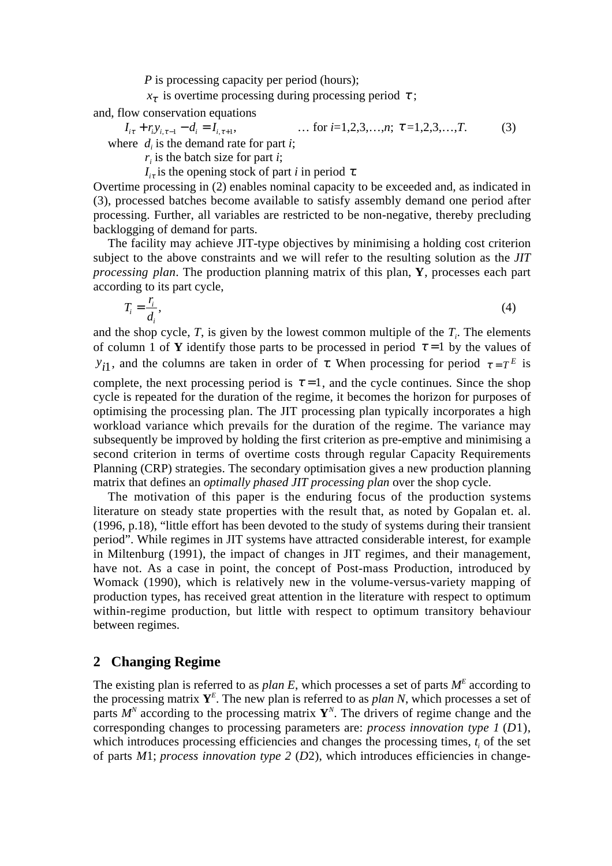*P* is processing capacity per period (hours);

 $x_{\tau}$  is overtime processing during processing period  $\tau$ ;

and, flow conservation equations

$$
I_{i\tau} + r_i y_{i,\tau-1} - d_i = I_{i,\tau+1}, \qquad \dots \text{ for } i = 1, 2, 3, \dots, n; \ \tau = 1, 2, 3, \dots, T. \tag{3}
$$
  
where  $d_i$  is the demand rate for part *i*;

*ri* is the batch size for part *i*;

 $I_{i\tau}$  is the opening stock of part *i* in period  $\tau$ .

Overtime processing in (2) enables nominal capacity to be exceeded and, as indicated in (3), processed batches become available to satisfy assembly demand one period after processing. Further, all variables are restricted to be non-negative, thereby precluding backlogging of demand for parts.

The facility may achieve JIT-type objectives by minimising a holding cost criterion subject to the above constraints and we will refer to the resulting solution as the *JIT processing plan*. The production planning matrix of this plan, **Y**, processes each part according to its part cycle,

$$
T_i = \frac{r_i}{d_i},\tag{4}
$$

and the shop cycle,  $T$ , is given by the lowest common multiple of the  $T$ <sup>*i*</sup>. The elements of column 1 of **Y** identify those parts to be processed in period  $\tau = 1$  by the values of *y*<sub>i</sub> and the columns are taken in order of  $\tau$ . When processing for period  $\tau = T^E$  is

complete, the next processing period is  $\tau = 1$ , and the cycle continues. Since the shop cycle is repeated for the duration of the regime, it becomes the horizon for purposes of optimising the processing plan. The JIT processing plan typically incorporates a high workload variance which prevails for the duration of the regime. The variance may subsequently be improved by holding the first criterion as pre-emptive and minimising a second criterion in terms of overtime costs through regular Capacity Requirements Planning (CRP) strategies. The secondary optimisation gives a new production planning matrix that defines an *optimally phased JIT processing plan* over the shop cycle.

The motivation of this paper is the enduring focus of the production systems literature on steady state properties with the result that, as noted by Gopalan et. al. (1996, p.18), "little effort has been devoted to the study of systems during their transient period". While regimes in JIT systems have attracted considerable interest, for example in Miltenburg (1991), the impact of changes in JIT regimes, and their management, have not. As a case in point, the concept of Post-mass Production, introduced by Womack (1990), which is relatively new in the volume-versus-variety mapping of production types, has received great attention in the literature with respect to optimum within-regime production, but little with respect to optimum transitory behaviour between regimes.

## **2 Changing Regime**

The existing plan is referred to as *plan E*, which processes a set of parts  $M<sup>E</sup>$  according to the processing matrix  $Y^E$ . The new plan is referred to as *plan N*, which processes a set of parts  $M^N$  according to the processing matrix  $\mathbf{Y}^N$ . The drivers of regime change and the corresponding changes to processing parameters are: *process innovation type 1* (*D*1), which introduces processing efficiencies and changes the processing times,  $t_i$  of the set of parts *M*1; *process innovation type 2* (*D*2), which introduces efficiencies in change-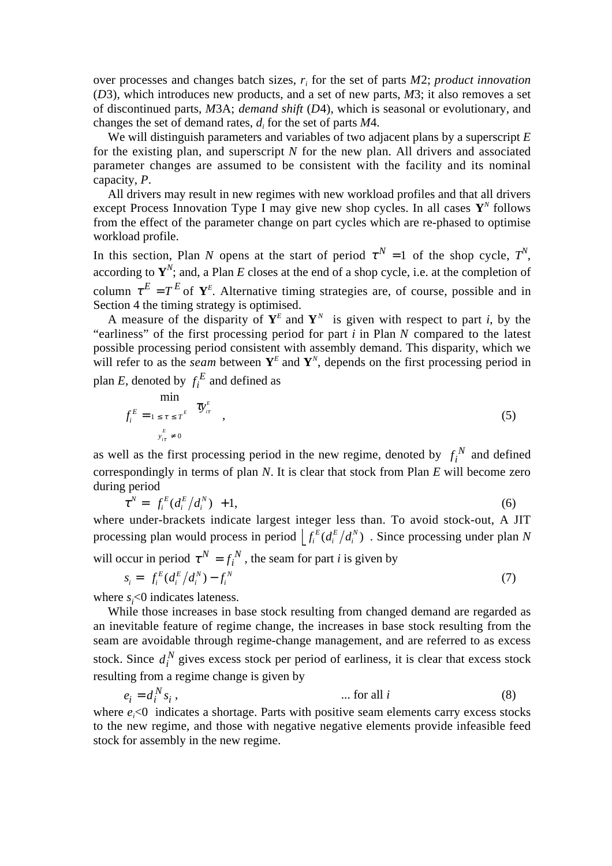over processes and changes batch sizes, *r<sup>i</sup>* for the set of parts *M*2; *product innovation* (*D*3), which introduces new products, and a set of new parts, *M*3; it also removes a set of discontinued parts, *M*3A; *demand shift* (*D*4), which is seasonal or evolutionary, and changes the set of demand rates, *d<sup>i</sup>* for the set of parts *M*4.

We will distinguish parameters and variables of two adjacent plans by a superscript *E* for the existing plan, and superscript *N* for the new plan. All drivers and associated parameter changes are assumed to be consistent with the facility and its nominal capacity, *P*.

All drivers may result in new regimes with new workload profiles and that all drivers except Process Innovation Type I may give new shop cycles. In all cases **Y***<sup>N</sup>* follows from the effect of the parameter change on part cycles which are re-phased to optimise workload profile.

In this section, Plan *N* opens at the start of period  $\tau^N = 1$  of the shop cycle,  $T^N$ , according to  $Y^N$ ; and, a Plan *E* closes at the end of a shop cycle, i.e. at the completion of column  $\tau^E = T^E$  of  $Y^E$ . Alternative timing strategies are, of course, possible and in Section 4 the timing strategy is optimised.

A measure of the disparity of  $Y^E$  and  $Y^N$  is given with respect to part *i*, by the "earliness" of the first processing period for part *i* in Plan *N* compared to the latest possible processing period consistent with assembly demand. This disparity, which we will refer to as the *seam* between  $Y^E$  and  $Y^N$ , depends on the first processing period in plan *E*, denoted by  $f_i^E$  and defined as

$$
f_i^E = \lim_{\substack{1 \le \tau \le T^E \\ y_{i\tau}^E \neq 0}} \left\{ \mathfrak{V}_{i\tau}^E \right\}, \tag{5}
$$

as well as the first processing period in the new regime, denoted by  $f_i^N$  and defined correspondingly in terms of plan *N*. It is clear that stock from Plan *E* will become zero during period

$$
\tau^N = \left[ f_i^E(d_i^E/d_i^N) \right] + 1,\tag{6}
$$

where under-brackets indicate largest integer less than. To avoid stock-out, A JIT processing plan would process in period  $\int_{i}^{E} (d_i^{E}) d$ *i E i*  $\left[ \int_{i}^{E} (d_i^{E}/d_i^{N}) \right]$ . Since processing under plan *N* 

will occur in period  $\tau^N = f_i^N$  $\tau^{N} = f_i^{N}$ , the seam for part *i* is given by

$$
s_i = \left[ f_i^E (d_i^E / d_i^N) - f_i^N \right] \tag{7}
$$

where *s*<sub>*i*</sub><0 indicates lateness.

While those increases in base stock resulting from changed demand are regarded as an inevitable feature of regime change, the increases in base stock resulting from the seam are avoidable through regime-change management, and are referred to as excess stock. Since  $d_i^N$  gives excess stock per period of earliness, it is clear that excess stock resulting from a regime change is given by

*i N*  $e_i = d_i^N s_i$ , ... for all *i* (8)

where  $e_i$ <0 indicates a shortage. Parts with positive seam elements carry excess stocks to the new regime, and those with negative negative elements provide infeasible feed stock for assembly in the new regime.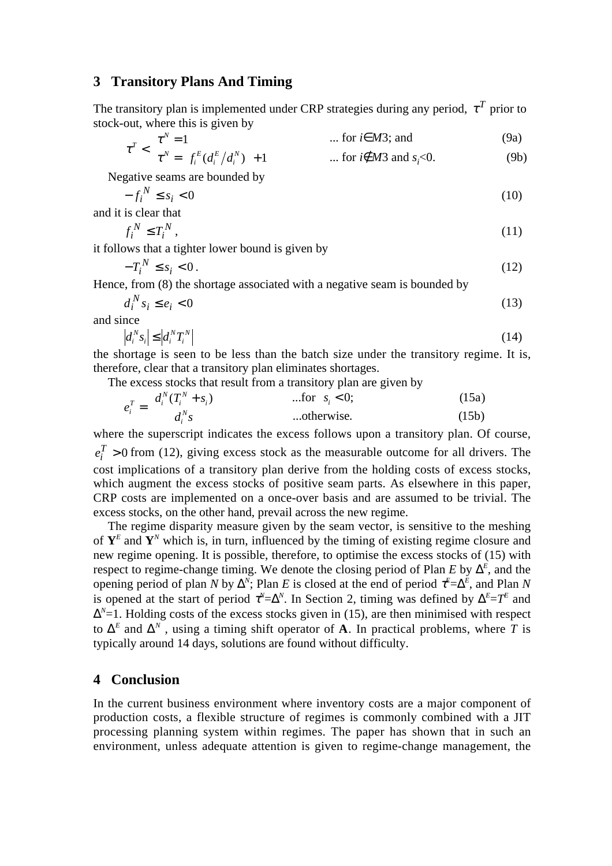#### **3 Transitory Plans And Timing**

The transitory plan is implemented under CRP strategies during any period,  $\tau^T$  prior to stock-out, where this is given by

$$
\tau^T < \begin{cases} \tau^N = 1 & \text{if } i \in M3 \text{ and } \\ \tau^N = \left[ f_i^E(d_i^E/d_i^N) \right] + 1 & \text{if } i \notin M3 \text{ and } s_i < 0. \end{cases} \tag{9a}
$$

Negative seams are bounded by

$$
-f_i^N \le s_i < 0 \tag{10}
$$

and it is clear that  
\n
$$
f_i^N \le T_i^N
$$
, (11)

it follows that a tighter lower bound is given by

$$
-T_i^N \le s_i < 0\,. \tag{12}
$$

Hence, from (8) the shortage associated with a negative seam is bounded by

$$
d_i^N s_i \le e_i < 0 \tag{13}
$$

and since

$$
\left|d_i^N s_i\right| \le \left|d_i^N T_i^N\right| \tag{14}
$$

the shortage is seen to be less than the batch size under the transitory regime. It is, therefore, clear that a transitory plan eliminates shortages.

The excess stocks that result from a transitory plan are given by

$$
e_i^T = \begin{cases} d_i^N(T_i^N + s_i) & \text{...for } s_i < 0; \\ d_i^N s & \text{...otherwise.} \end{cases}
$$
 (15a)

where the superscript indicates the excess follows upon a transitory plan. Of course,  $_{i}^{T} > 0$  $e_i^I > 0$  from (12), giving excess stock as the measurable outcome for all drivers. The cost implications of a transitory plan derive from the holding costs of excess stocks, which augment the excess stocks of positive seam parts. As elsewhere in this paper, CRP costs are implemented on a once-over basis and are assumed to be trivial. The excess stocks, on the other hand, prevail across the new regime.

The regime disparity measure given by the seam vector, is sensitive to the meshing of  $Y^E$  and  $Y^N$  which is, in turn, influenced by the timing of existing regime closure and new regime opening. It is possible, therefore, to optimise the excess stocks of (15) with respect to regime-change timing. We denote the closing period of Plan  $E$  by  $\Delta^E$ , and the opening period of plan *N* by  $\Delta^N$ ; Plan *E* is closed at the end of period  $\tau^E = \Delta^E$ , and Plan *N* is opened at the start of period  $\tau^N = \Delta^N$ . In Section 2, timing was defined by  $\Delta^E = T^E$  and  $\Delta^{N}=1$ . Holding costs of the excess stocks given in (15), are then minimised with respect to  $\Delta^E$  and  $\Delta^N$ , using a timing shift operator of **A**. In practical problems, where *T* is typically around 14 days, solutions are found without difficulty.

#### **4 Conclusion**

In the current business environment where inventory costs are a major component of production costs, a flexible structure of regimes is commonly combined with a JIT processing planning system within regimes. The paper has shown that in such an environment, unless adequate attention is given to regime-change management, the